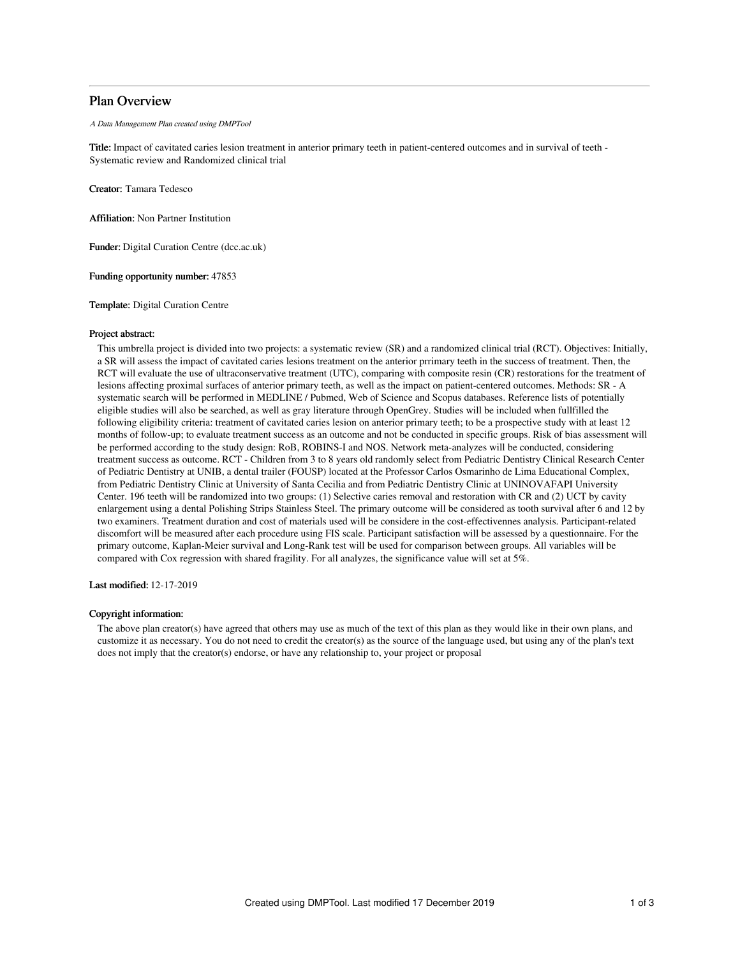## Plan Overview

A Data Management Plan created using DMPTool

Title: Impact of cavitated caries lesion treatment in anterior primary teeth in patient-centered outcomes and in survival of teeth - Systematic review and Randomized clinical trial

Creator: Tamara Tedesco

Affiliation: Non Partner Institution

Funder: Digital Curation Centre (dcc.ac.uk)

Funding opportunity number: 47853

Template: Digital Curation Centre

### Project abstract:

This umbrella project is divided into two projects: a systematic review (SR) and a randomized clinical trial (RCT). Objectives: Initially, a SR will assess the impact of cavitated caries lesions treatment on the anterior prrimary teeth in the success of treatment. Then, the RCT will evaluate the use of ultraconservative treatment (UTC), comparing with composite resin (CR) restorations for the treatment of lesions affecting proximal surfaces of anterior primary teeth, as well as the impact on patient-centered outcomes. Methods: SR - A systematic search will be performed in MEDLINE / Pubmed, Web of Science and Scopus databases. Reference lists of potentially eligible studies will also be searched, as well as gray literature through OpenGrey. Studies will be included when fullfilled the following eligibility criteria: treatment of cavitated caries lesion on anterior primary teeth; to be a prospective study with at least 12 months of follow-up; to evaluate treatment success as an outcome and not be conducted in specific groups. Risk of bias assessment will be performed according to the study design: RoB, ROBINS-I and NOS. Network meta-analyzes will be conducted, considering treatment success as outcome. RCT - Children from 3 to 8 years old randomly select from Pediatric Dentistry Clinical Research Center of Pediatric Dentistry at UNIB, a dental trailer (FOUSP) located at the Professor Carlos Osmarinho de Lima Educational Complex, from Pediatric Dentistry Clinic at University of Santa Cecilia and from Pediatric Dentistry Clinic at UNINOVAFAPI University Center. 196 teeth will be randomized into two groups: (1) Selective caries removal and restoration with CR and (2) UCT by cavity enlargement using a dental Polishing Strips Stainless Steel. The primary outcome will be considered as tooth survival after 6 and 12 by two examiners. Treatment duration and cost of materials used will be considere in the cost-effectivennes analysis. Participant-related discomfort will be measured after each procedure using FIS scale. Participant satisfaction will be assessed by a questionnaire. For the primary outcome, Kaplan-Meier survival and Long-Rank test will be used for comparison between groups. All variables will be compared with Cox regression with shared fragility. For all analyzes, the significance value will set at 5%.

Last modified: 12-17-2019

### Copyright information:

The above plan creator(s) have agreed that others may use as much of the text of this plan as they would like in their own plans, and customize it as necessary. You do not need to credit the creator(s) as the source of the language used, but using any of the plan's text does not imply that the creator(s) endorse, or have any relationship to, your project or proposal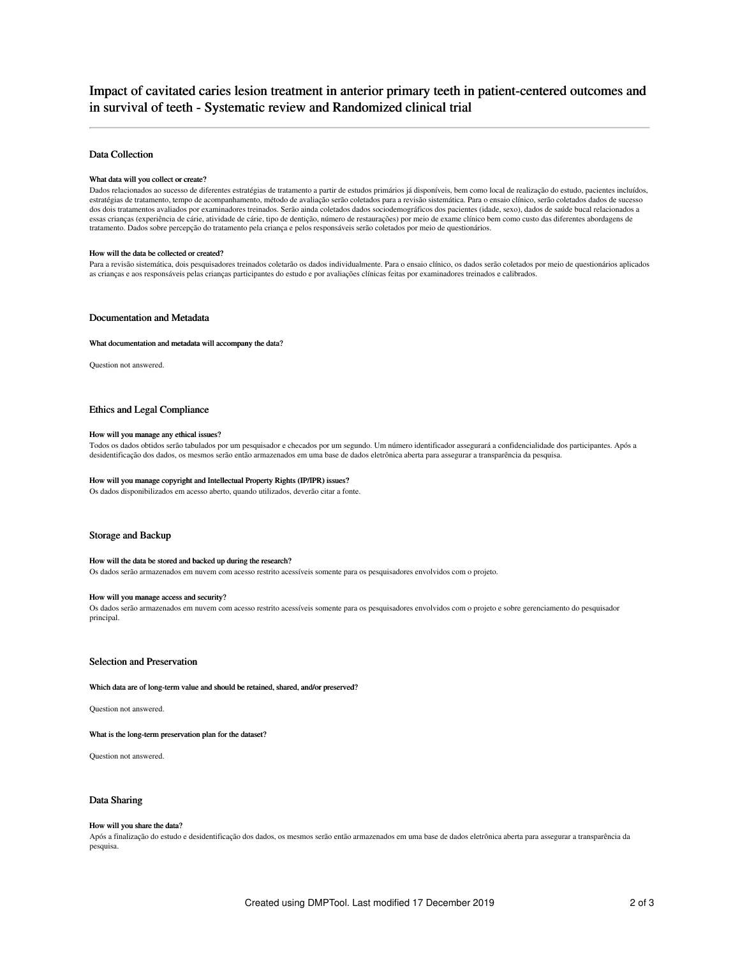# Impact of cavitated caries lesion treatment in anterior primary teeth in patient-centered outcomes and in survival of teeth - Systematic review and Randomized clinical trial

### Data Collection

### What data will you collect or create?

Dados relacionados ao sucesso de diferentes estratégias de tratamento a partir de estudos primários já disponíveis, bem como local de realização do estudo, pacientes incluídos, estratégias de tratamento, tempo de acompanhamento, método de avaliação serão coletados para a revisão sistemática. Para o ensaio clínico, serão coletados dados de sucesso dos dois tratamentos avaliados por examinadores treinados. Serão ainda coletados dados sociodemográficos dos pacientes (idade, sexo), dados de saúde bucal relacionados a essas crianças (experiência de cárie, atividade de cárie, tipo de dentição, número de restaurações) por meio de exame clínico bem como custo das diferentes abordagens de tratamento. Dados sobre percepção do tratamento pela criança e pelos responsáveis serão coletados por meio de questionários.

#### How will the data be collected or created?

Para a revisão sistemática, dois pesquisadores treinados coletarão os dados individualmente. Para o ensaio clínico, os dados serão coletados por meio de questionários aplicados as crianças e aos responsáveis pelas crianças participantes do estudo e por avaliações clínicas feitas por examinadores treinados e calibrados.

### Documentation and Metadata

#### What documentation and metadata will accompany the data?

Question not answered.

### Ethics and Legal Compliance

#### How will you manage any ethical issues?

Todos os dados obtidos serão tabulados por um pesquisador e checados por um segundo. Um número identificador assegurará a confidencialidade dos participantes. Após a desidentificação dos dados, os mesmos serão então armazenados em uma base de dados eletrônica aberta para assegurar a transparência da pesquisa.

#### How will you manage copyright and Intellectual Property Rights (IP/IPR) issues?

Os dados disponibilizados em acesso aberto, quando utilizados, deverão citar a fonte.

#### Storage and Backup

#### How will the data be stored and backed up during the research?

Os dados serão armazenados em nuvem com acesso restrito acessíveis somente para os pesquisadores envolvidos com o projeto.

#### How will you manage access and security?

Os dados serão armazenados em nuvem com acesso restrito acessíveis somente para os pesquisadores envolvidos com o projeto e sobre gerenciamento do pesquisador principal.

### Selection and Preservation

#### Which data are of long-term value and should be retained, shared, and/or preserved?

Question not answered.

#### What is the long-term preservation plan for the dataset?

Question not answered.

### Data Sharing

#### How will you share the data?

Após a finalização do estudo e desidentificação dos dados, os mesmos serão então armazenados em uma base de dados eletrônica aberta para assegurar a transparência da pesquisa.